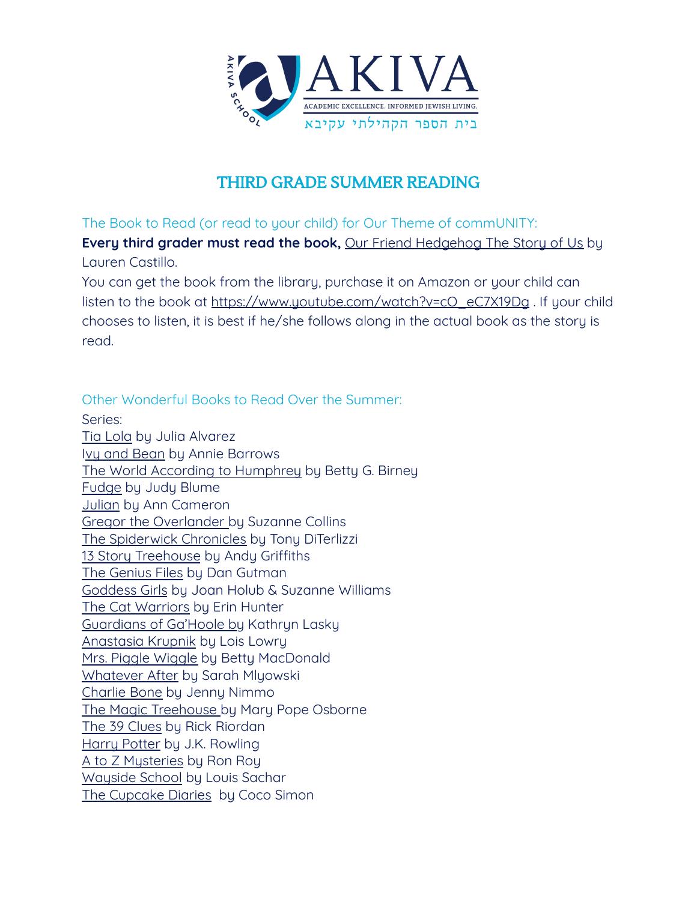

## THIRD GRADE SUMMER READING

The Book to Read (or read to your child) for Our Theme of commUNITY:

**Every third grader must read the book,** Our Friend Hedgehog The Story of Us by Lauren Castillo.

You can get the book from the library, purchase it on Amazon or your child can listen to the book at [https://www.youtube.com/watch?v=cO\\_eC7X19Dg](https://www.youtube.com/watch?v=cO_eC7X19Dg) . If your child chooses to listen, it is best if he/she follows along in the actual book as the story is read.

Other Wonderful Books to Read Over the Summer:

Series: Tia Lola by Julia Alvarez Ivy and Bean by Annie Barrows The World According to Humphrey by Betty G. Birney Fudge by Judy Blume Julian by Ann Cameron Gregor the Overlander by Suzanne Collins The Spiderwick Chronicles by Tony DiTerlizzi 13 Story Treehouse by Andy Griffiths The Genius Files by Dan Gutman Goddess Girls by Joan Holub & Suzanne Williams The Cat Warriors by Erin Hunter Guardians of Ga'Hoole by Kathryn Lasky Anastasia Krupnik by Lois Lowry Mrs. Piggle Wiggle by Betty MacDonald Whatever After by Sarah Mlyowski Charlie Bone by Jenny Nimmo The Magic Treehouse by Mary Pope Osborne The 39 Clues by Rick Riordan Harry Potter by J.K. Rowling A to Z Musteries by Ron Roy Wayside School by Louis Sachar The Cupcake Diaries by Coco Simon